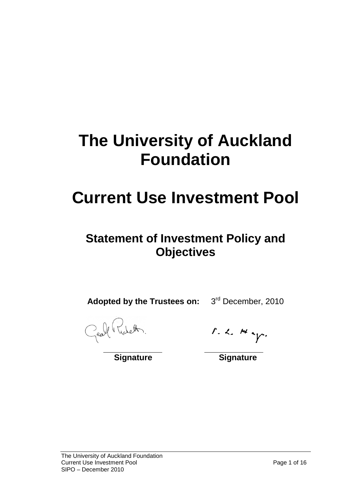# **The University of Auckland Foundation**

## **Current Use Investment Pool**

## **Statement of Investment Policy and Objectives**

**Adopted by the Trustees on:** 3rd December, 2010

Geoff Ticketh.

 $r. c.$  Hey.

**Signature Signature**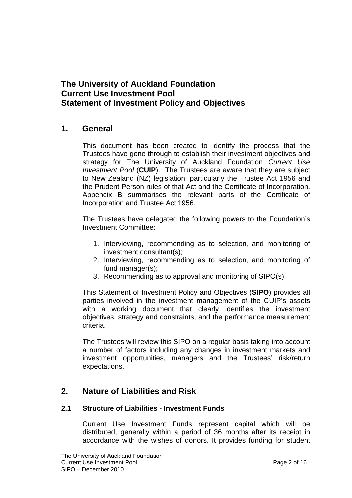### **The University of Auckland Foundation Current Use Investment Pool Statement of Investment Policy and Objectives**

### **1. General**

This document has been created to identify the process that the Trustees have gone through to establish their investment objectives and strategy for The University of Auckland Foundation *Current Use Investment Pool* (**CUIP**). The Trustees are aware that they are subject to New Zealand (NZ) legislation, particularly the Trustee Act 1956 and the Prudent Person rules of that Act and the Certificate of Incorporation. Appendix B summarises the relevant parts of the Certificate of Incorporation and Trustee Act 1956.

The Trustees have delegated the following powers to the Foundation's Investment Committee:

- 1. Interviewing, recommending as to selection, and monitoring of investment consultant(s);
- 2. Interviewing, recommending as to selection, and monitoring of fund manager(s);
- 3. Recommending as to approval and monitoring of SIPO(s).

This Statement of Investment Policy and Objectives (**SIPO**) provides all parties involved in the investment management of the CUIP's assets with a working document that clearly identifies the investment objectives, strategy and constraints, and the performance measurement criteria.

The Trustees will review this SIPO on a regular basis taking into account a number of factors including any changes in investment markets and investment opportunities, managers and the Trustees' risk/return expectations.

### **2. Nature of Liabilities and Risk**

### **2.1 Structure of Liabilities - Investment Funds**

Current Use Investment Funds represent capital which will be distributed, generally within a period of 36 months after its receipt in accordance with the wishes of donors. It provides funding for student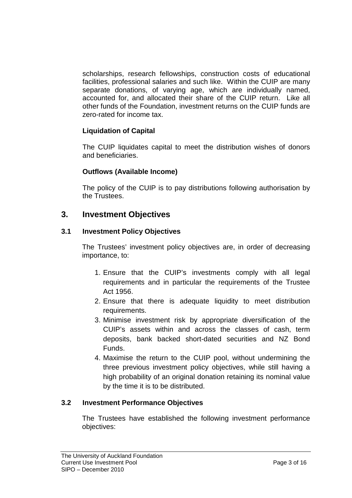scholarships, research fellowships, construction costs of educational facilities, professional salaries and such like. Within the CUIP are many separate donations, of varying age, which are individually named, accounted for, and allocated their share of the CUIP return. Like all other funds of the Foundation, investment returns on the CUIP funds are zero-rated for income tax.

### **Liquidation of Capital**

The CUIP liquidates capital to meet the distribution wishes of donors and beneficiaries.

### **Outflows (Available Income)**

The policy of the CUIP is to pay distributions following authorisation by the Trustees.

### **3. Investment Objectives**

### **3.1 Investment Policy Objectives**

The Trustees' investment policy objectives are, in order of decreasing importance, to:

- 1. Ensure that the CUIP's investments comply with all legal requirements and in particular the requirements of the Trustee Act 1956.
- 2. Ensure that there is adequate liquidity to meet distribution requirements.
- 3. Minimise investment risk by appropriate diversification of the CUIP's assets within and across the classes of cash, term deposits, bank backed short-dated securities and NZ Bond Funds.
- 4. Maximise the return to the CUIP pool, without undermining the three previous investment policy objectives, while still having a high probability of an original donation retaining its nominal value by the time it is to be distributed.

### **3.2 Investment Performance Objectives**

The Trustees have established the following investment performance objectives: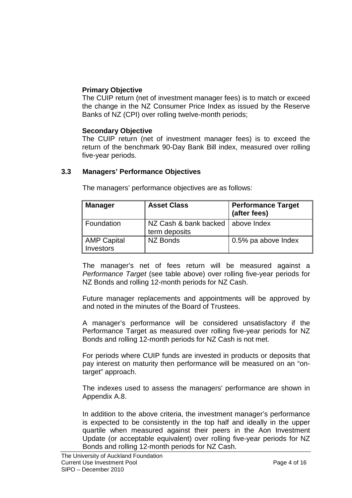### **Primary Objective**

The CUIP return (net of investment manager fees) is to match or exceed the change in the NZ Consumer Price Index as issued by the Reserve Banks of NZ (CPI) over rolling twelve-month periods;

#### **Secondary Objective**

The CUIP return (net of investment manager fees) is to exceed the return of the benchmark 90-Day Bank Bill index, measured over rolling five-year periods.

#### **3.3 Managers' Performance Objectives**

| <b>Manager</b>                  | <b>Asset Class</b>                     | <b>Performance Target</b><br>(after fees) |
|---------------------------------|----------------------------------------|-------------------------------------------|
| l Foundation                    | NZ Cash & bank backed<br>term deposits | above Index                               |
| AMP Capital<br><b>Investors</b> | NZ Bonds                               | 0.5% pa above Index                       |

The managers' performance objectives are as follows:

The manager's net of fees return will be measured against a *Performance Target* (see table above) over rolling five-year periods for NZ Bonds and rolling 12-month periods for NZ Cash.

Future manager replacements and appointments will be approved by and noted in the minutes of the Board of Trustees.

A manager's performance will be considered unsatisfactory if the Performance Target as measured over rolling five-year periods for NZ Bonds and rolling 12-month periods for NZ Cash is not met.

For periods where CUIP funds are invested in products or deposits that pay interest on maturity then performance will be measured on an "ontarget" approach.

The indexes used to assess the managers' performance are shown in Appendix A.8.

In addition to the above criteria, the investment manager's performance is expected to be consistently in the top half and ideally in the upper quartile when measured against their peers in the Aon Investment Update (or acceptable equivalent) over rolling five-year periods for NZ Bonds and rolling 12-month periods for NZ Cash.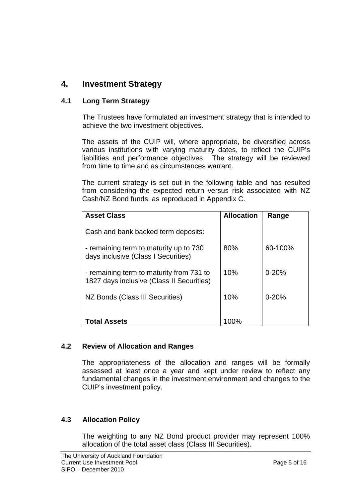### **4. Investment Strategy**

### **4.1 Long Term Strategy**

The Trustees have formulated an investment strategy that is intended to achieve the two investment objectives.

The assets of the CUIP will, where appropriate, be diversified across various institutions with varying maturity dates, to reflect the CUIP's liabilities and performance objectives. The strategy will be reviewed from time to time and as circumstances warrant.

The current strategy is set out in the following table and has resulted from considering the expected return versus risk associated with NZ Cash/NZ Bond funds, as reproduced in Appendix C.

| <b>Asset Class</b>                                                                    | <b>Allocation</b> | Range     |  |
|---------------------------------------------------------------------------------------|-------------------|-----------|--|
| Cash and bank backed term deposits:                                                   |                   |           |  |
| - remaining term to maturity up to 730<br>days inclusive (Class I Securities)         | 80%               | 60-100%   |  |
| - remaining term to maturity from 731 to<br>1827 days inclusive (Class II Securities) | 10%               | $0 - 20%$ |  |
| NZ Bonds (Class III Securities)                                                       | 10%               | $0 - 20%$ |  |
| <b>Total Assets</b>                                                                   | 100%              |           |  |

### **4.2 Review of Allocation and Ranges**

The appropriateness of the allocation and ranges will be formally assessed at least once a year and kept under review to reflect any fundamental changes in the investment environment and changes to the CUIP's investment policy.

### **4.3 Allocation Policy**

The weighting to any NZ Bond product provider may represent 100% allocation of the total asset class (Class III Securities).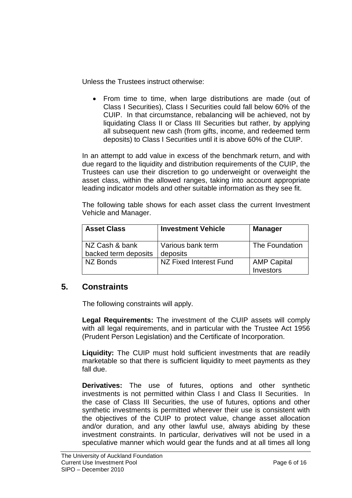Unless the Trustees instruct otherwise:

• From time to time, when large distributions are made (out of Class I Securities), Class I Securities could fall below 60% of the CUIP. In that circumstance, rebalancing will be achieved, not by liquidating Class II or Class III Securities but rather, by applying all subsequent new cash (from gifts, income, and redeemed term deposits) to Class I Securities until it is above 60% of the CUIP.

In an attempt to add value in excess of the benchmark return, and with due regard to the liquidity and distribution requirements of the CUIP, the Trustees can use their discretion to go underweight or overweight the asset class, within the allowed ranges, taking into account appropriate leading indicator models and other suitable information as they see fit.

The following table shows for each asset class the current Investment Vehicle and Manager.

| <b>Asset Class</b>                     | <b>Investment Vehicle</b>     | <b>Manager</b>                  |
|----------------------------------------|-------------------------------|---------------------------------|
| NZ Cash & bank<br>backed term deposits | Various bank term<br>deposits | The Foundation                  |
| NZ Bonds                               | NZ Fixed Interest Fund        | <b>AMP Capital</b><br>Investors |

### **5. Constraints**

The following constraints will apply.

**Legal Requirements:** The investment of the CUIP assets will comply with all legal requirements, and in particular with the Trustee Act 1956 (Prudent Person Legislation) and the Certificate of Incorporation.

**Liquidity:** The CUIP must hold sufficient investments that are readily marketable so that there is sufficient liquidity to meet payments as they fall due.

**Derivatives:** The use of futures, options and other synthetic investments is not permitted within Class I and Class II Securities. In the case of Class III Securities, the use of futures, options and other synthetic investments is permitted wherever their use is consistent with the objectives of the CUIP to protect value, change asset allocation and/or duration, and any other lawful use, always abiding by these investment constraints. In particular, derivatives will not be used in a speculative manner which would gear the funds and at all times all long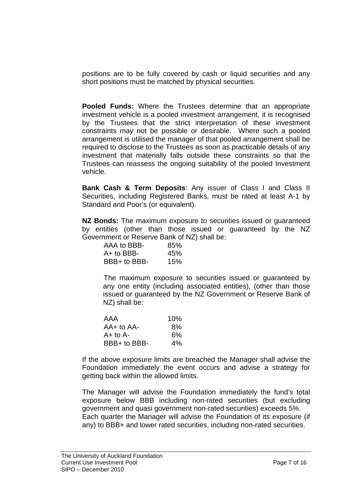positions are to be fully covered by cash or liquid securities and any short positions must be matched by physical securities.

**Pooled Funds:** Where the Trustees determine that an appropriate investment vehicle is a pooled investment arrangement, it is recognised by the Trustees that the strict interpretation of these investment constraints may not be possible or desirable. Where such a pooled arrangement is utilised the manager of that pooled arrangement shall be required to disclose to the Trustees as soon as practicable details of any investment that materially falls outside these constraints so that the Trustees can reassess the ongoing suitability of the pooled Investment vehicle.

**Bank Cash & Term Deposits**: Any issuer of Class I and Class II Securities, including Registered Banks, must be rated at least A-1 by Standard and Poor's (or equivalent).

**NZ Bonds:** The maximum exposure to securities issued or guaranteed by entities (other than those issued or guaranteed by the NZ Government or Reserve Bank of NZ) shall be:

| AAA to BBB-  | 85% |
|--------------|-----|
| $A+$ to BBB- | 45% |
| BBB+ to BBB- | 15% |

The maximum exposure to securities issued or guaranteed by any one entity (including associated entities), (other than those issued or guaranteed by the NZ Government or Reserve Bank of NZ) shall be:

| AAA            | 10% |
|----------------|-----|
| $AA+$ to $AA-$ | 8%  |
| $A+$ to $A-$   | 6%  |
| BBB+ to BBB-   | 4%  |

If the above exposure limits are breached the Manager shall advise the Foundation immediately the event occurs and advise a strategy for getting back within the allowed limits.

The Manager will advise the Foundation immediately the fund's total exposure below BBB including non-rated securities (but excluding government and quasi government non-rated securities) exceeds 5%. Each quarter the Manager will advise the Foundation of its exposure (if any) to BBB+ and lower rated securities, including non-rated securities.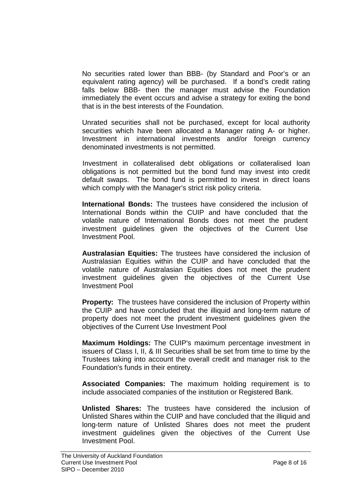No securities rated lower than BBB- (by Standard and Poor's or an equivalent rating agency) will be purchased. If a bond's credit rating falls below BBB- then the manager must advise the Foundation immediately the event occurs and advise a strategy for exiting the bond that is in the best interests of the Foundation.

Unrated securities shall not be purchased, except for local authority securities which have been allocated a Manager rating A- or higher. Investment in international investments and/or foreign currency denominated investments is not permitted.

Investment in collateralised debt obligations or collateralised loan obligations is not permitted but the bond fund may invest into credit default swaps. The bond fund is permitted to invest in direct loans which comply with the Manager's strict risk policy criteria.

**International Bonds:** The trustees have considered the inclusion of International Bonds within the CUIP and have concluded that the volatile nature of International Bonds does not meet the prudent investment guidelines given the objectives of the Current Use Investment Pool.

**Australasian Equities:** The trustees have considered the inclusion of Australasian Equities within the CUIP and have concluded that the volatile nature of Australasian Equities does not meet the prudent investment guidelines given the objectives of the Current Use Investment Pool

**Property:** The trustees have considered the inclusion of Property within the CUIP and have concluded that the illiquid and long-term nature of property does not meet the prudent investment guidelines given the objectives of the Current Use Investment Pool

**Maximum Holdings:** The CUIP's maximum percentage investment in issuers of Class I, II, & III Securities shall be set from time to time by the Trustees taking into account the overall credit and manager risk to the Foundation's funds in their entirety.

**Associated Companies:** The maximum holding requirement is to include associated companies of the institution or Registered Bank.

**Unlisted Shares:** The trustees have considered the inclusion of Unlisted Shares within the CUIP and have concluded that the illiquid and long-term nature of Unlisted Shares does not meet the prudent investment guidelines given the objectives of the Current Use Investment Pool.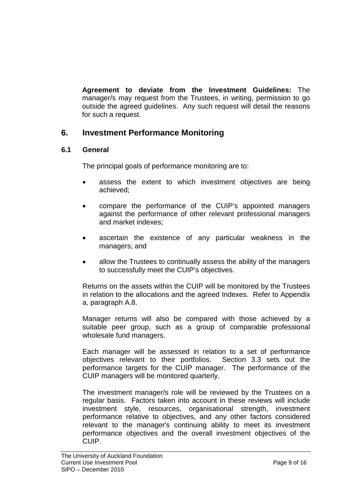**Agreement to deviate from the Investment Guidelines:** The manager/s may request from the Trustees, in writing, permission to go outside the agreed guidelines. Any such request will detail the reasons for such a request.

### **6. Investment Performance Monitoring**

### **6.1 General**

The principal goals of performance monitoring are to:

- assess the extent to which investment objectives are being achieved;
- compare the performance of the CUIP's appointed managers against the performance of other relevant professional managers and market indexes;
- ascertain the existence of any particular weakness in the managers; and
- allow the Trustees to continually assess the ability of the managers to successfully meet the CUIP's objectives.

Returns on the assets within the CUIP will be monitored by the Trustees in relation to the allocations and the agreed Indexes. Refer to Appendix a, paragraph A.8.

Manager returns will also be compared with those achieved by a suitable peer group, such as a group of comparable professional wholesale fund managers.

Each manager will be assessed in relation to a set of performance objectives relevant to their portfolios. Section 3.3 sets out the performance targets for the CUIP manager. The performance of the CUIP managers will be monitored quarterly.

The investment manager/s role will be reviewed by the Trustees on a regular basis. Factors taken into account in these reviews will include investment style, resources, organisational strength, investment performance relative to objectives, and any other factors considered relevant to the manager's continuing ability to meet its investment performance objectives and the overall investment objectives of the CUIP.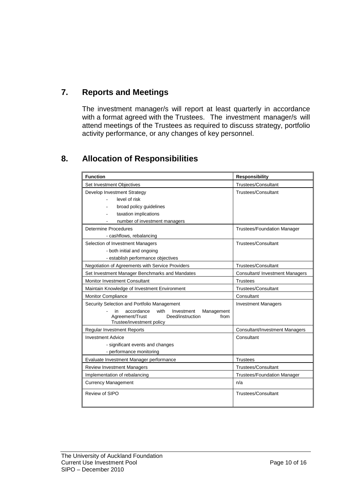### **7. Reports and Meetings**

The investment manager/s will report at least quarterly in accordance with a format agreed with the Trustees. The investment manager/s will attend meetings of the Trustees as required to discuss strategy, portfolio activity performance, or any changes of key personnel.

### **8. Allocation of Responsibilities**

| <b>Function</b>                                                                                                                  | <b>Responsibility</b>              |  |
|----------------------------------------------------------------------------------------------------------------------------------|------------------------------------|--|
| Set Investment Objectives                                                                                                        | <b>Trustees/Consultant</b>         |  |
| Develop Investment Strategy                                                                                                      | Trustees/Consultant                |  |
| level of risk                                                                                                                    |                                    |  |
| broad policy quidelines                                                                                                          |                                    |  |
| taxation implications                                                                                                            |                                    |  |
| number of investment managers                                                                                                    |                                    |  |
| <b>Determine Procedures</b>                                                                                                      | <b>Trustees/Foundation Manager</b> |  |
| - cashflows, rebalancing                                                                                                         |                                    |  |
| Selection of Investment Managers                                                                                                 | Trustees/Consultant                |  |
| - both initial and ongoing                                                                                                       |                                    |  |
| - establish performance objectives                                                                                               |                                    |  |
| Negotiation of Agreements with Service Providers                                                                                 | <b>Trustees/Consultant</b>         |  |
| Set Investment Manager Benchmarks and Mandates                                                                                   | Consultant/ Investment Managers    |  |
| <b>Monitor Investment Consultant</b>                                                                                             | <b>Trustees</b>                    |  |
| Maintain Knowledge of Investment Environment                                                                                     | Trustees/Consultant                |  |
| <b>Monitor Compliance</b>                                                                                                        | Consultant                         |  |
| Security Selection and Portfolio Management                                                                                      | <b>Investment Managers</b>         |  |
| with<br>accordance<br>Management<br>in<br>Investment<br>Agreement/Trust<br>Deed/instruction<br>from<br>Trustee/investment policy |                                    |  |
| <b>Regular Investment Reports</b>                                                                                                | Consultant/Investment Managers     |  |
| <b>Investment Advice</b>                                                                                                         | Consultant                         |  |
| - significant events and changes                                                                                                 |                                    |  |
| - performance monitoring                                                                                                         |                                    |  |
| Evaluate Investment Manager performance                                                                                          | <b>Trustees</b>                    |  |
| <b>Review Investment Managers</b>                                                                                                | <b>Trustees/Consultant</b>         |  |
| Implementation of rebalancing                                                                                                    | <b>Trustees/Foundation Manager</b> |  |
| <b>Currency Management</b>                                                                                                       | n/a                                |  |
| Review of SIPO                                                                                                                   | <b>Trustees/Consultant</b>         |  |
|                                                                                                                                  |                                    |  |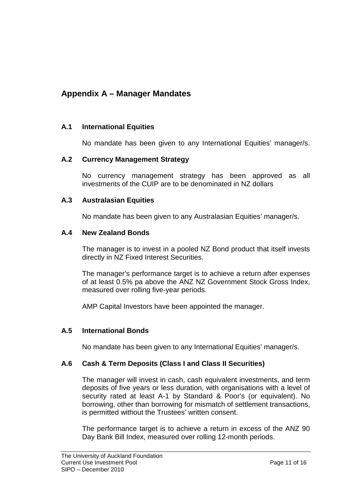### **Appendix A – Manager Mandates**

### **A.1 International Equities**

No mandate has been given to any International Equities' manager/s.

### **A.2 Currency Management Strategy**

No currency management strategy has been approved as all investments of the CUIP are to be denominated in NZ dollars

#### **A.3 Australasian Equities**

No mandate has been given to any Australasian Equities' manager/s.

#### **A.4 New Zealand Bonds**

The manager is to invest in a pooled NZ Bond product that itself invests directly in NZ Fixed Interest Securities.

The manager's performance target is to achieve a return after expenses of at least 0.5% pa above the ANZ NZ Government Stock Gross Index, measured over rolling five-year periods.

AMP Capital Investors have been appointed the manager.

### **A.5 International Bonds**

No mandate has been given to any International Equities' manager/s.

#### **A.6 Cash & Term Deposits (Class I and Class II Securities)**

The manager will invest in cash, cash equivalent investments, and term deposits of five years or less duration, with organisations with a level of security rated at least A-1 by Standard & Poor's (or equivalent). No borrowing, other than borrowing for mismatch of settlement transactions, is permitted without the Trustees' written consent.

The performance target is to achieve a return in excess of the ANZ 90 Day Bank Bill Index, measured over rolling 12-month periods.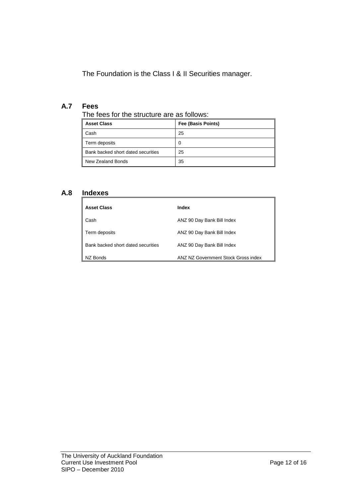The Foundation is the Class I & II Securities manager.

### **A.7 Fees**

| The fees for the structure are as follows: |  |  |
|--------------------------------------------|--|--|
|--------------------------------------------|--|--|

| <b>Asset Class</b>                 | Fee (Basis Points) |  |  |
|------------------------------------|--------------------|--|--|
| Cash                               | 25                 |  |  |
| Term deposits                      | 0                  |  |  |
| Bank backed short dated securities | 25                 |  |  |
| New Zealand Bonds                  | 35                 |  |  |

### **A.8 Indexes**

| <b>Asset Class</b>                 | Index                               |
|------------------------------------|-------------------------------------|
| Cash                               | ANZ 90 Day Bank Bill Index          |
| Term deposits                      | ANZ 90 Day Bank Bill Index          |
| Bank backed short dated securities | ANZ 90 Day Bank Bill Index          |
| NZ Bonds                           | ANZ NZ Government Stock Gross index |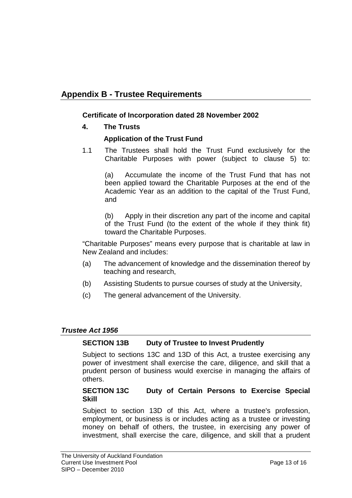### **Appendix B - Trustee Requirements**

#### **Certificate of Incorporation dated 28 November 2002**

**4. The Trusts**

#### **Application of the Trust Fund**

1.1 The Trustees shall hold the Trust Fund exclusively for the Charitable Purposes with power (subject to clause 5) to:

(a) Accumulate the income of the Trust Fund that has not been applied toward the Charitable Purposes at the end of the Academic Year as an addition to the capital of the Trust Fund, and

(b) Apply in their discretion any part of the income and capital of the Trust Fund (to the extent of the whole if they think fit) toward the Charitable Purposes.

"Charitable Purposes" means every purpose that is charitable at law in New Zealand and includes:

- (a) The advancement of knowledge and the dissemination thereof by teaching and research,
- (b) Assisting Students to pursue courses of study at the University,
- (c) The general advancement of the University.

### *Trustee Act 1956*

#### **SECTION 13B Duty of Trustee to Invest Prudently**

Subject to sections 13C and 13D of this Act, a trustee exercising any power of investment shall exercise the care, diligence, and skill that a prudent person of business would exercise in managing the affairs of others.

#### **SECTION 13C Duty of Certain Persons to Exercise Special Skill**

Subject to section 13D of this Act, where a trustee's profession, employment, or business is or includes acting as a trustee or investing money on behalf of others, the trustee, in exercising any power of investment, shall exercise the care, diligence, and skill that a prudent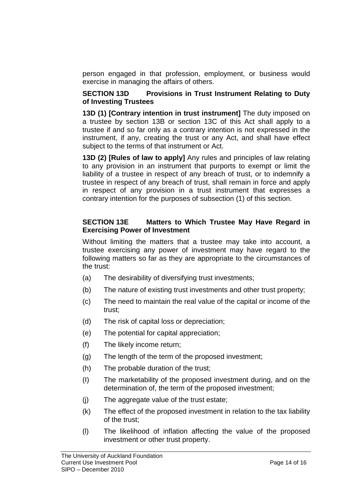person engaged in that profession, employment, or business would exercise in managing the affairs of others.

### **SECTION 13D Provisions in Trust Instrument Relating to Duty of Investing Trustees**

**13D (1) [Contrary intention in trust instrument]** The duty imposed on a trustee by section 13B or section 13C of this Act shall apply to a trustee if and so far only as a contrary intention is not expressed in the instrument, if any, creating the trust or any Act, and shall have effect subject to the terms of that instrument or Act.

**13D (2) [Rules of law to apply]** Any rules and principles of law relating to any provision in an instrument that purports to exempt or limit the liability of a trustee in respect of any breach of trust, or to indemnify a trustee in respect of any breach of trust, shall remain in force and apply in respect of any provision in a trust instrument that expresses a contrary intention for the purposes of subsection (1) of this section.

### **SECTION 13E Matters to Which Trustee May Have Regard in Exercising Power of Investment**

Without limiting the matters that a trustee may take into account, a trustee exercising any power of investment may have regard to the following matters so far as they are appropriate to the circumstances of the trust:

- (a) The desirability of diversifying trust investments;
- (b) The nature of existing trust investments and other trust property;
- (c) The need to maintain the real value of the capital or income of the trust;
- (d) The risk of capital loss or depreciation;
- (e) The potential for capital appreciation;
- (f) The likely income return;
- (g) The length of the term of the proposed investment;
- (h) The probable duration of the trust;
- (I) The marketability of the proposed investment during, and on the determination of, the term of the proposed investment;
- (j) The aggregate value of the trust estate;
- (k) The effect of the proposed investment in relation to the tax liability of the trust;
- (l) The likelihood of inflation affecting the value of the proposed investment or other trust property.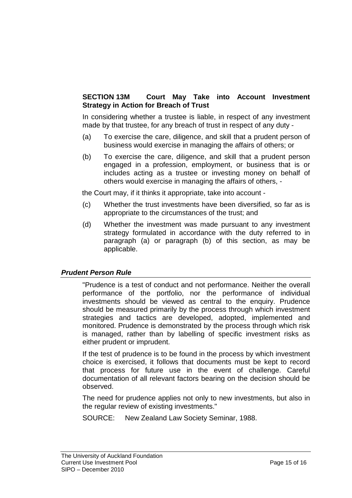### **SECTION 13M Court May Take into Account Investment Strategy in Action for Breach of Trust**

In considering whether a trustee is liable, in respect of any investment made by that trustee, for any breach of trust in respect of any duty -

- (a) To exercise the care, diligence, and skill that a prudent person of business would exercise in managing the affairs of others; or
- (b) To exercise the care, diligence, and skill that a prudent person engaged in a profession, employment, or business that is or includes acting as a trustee or investing money on behalf of others would exercise in managing the affairs of others, -

the Court may, if it thinks it appropriate, take into account -

- (c) Whether the trust investments have been diversified, so far as is appropriate to the circumstances of the trust; and
- (d) Whether the investment was made pursuant to any investment strategy formulated in accordance with the duty referred to in paragraph (a) or paragraph (b) of this section, as may be applicable.

#### *Prudent Person Rule*

"Prudence is a test of conduct and not performance. Neither the overall performance of the portfolio, nor the performance of individual investments should be viewed as central to the enquiry. Prudence should be measured primarily by the process through which investment strategies and tactics are developed, adopted, implemented and monitored. Prudence is demonstrated by the process through which risk is managed, rather than by labelling of specific investment risks as either prudent or imprudent.

If the test of prudence is to be found in the process by which investment choice is exercised, it follows that documents must be kept to record that process for future use in the event of challenge. Careful documentation of all relevant factors bearing on the decision should be observed.

The need for prudence applies not only to new investments, but also in the regular review of existing investments."

SOURCE: New Zealand Law Society Seminar, 1988.